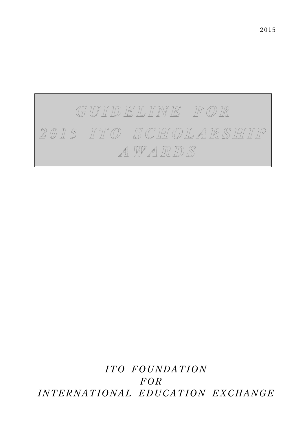

 *ITO FOUNDATION FOR INTERNATIONAL EDUCATION EXCHANGE*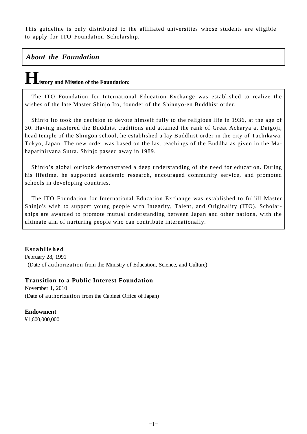This guideline is only distributed to the affiliated universities whose students are eligible to apply for ITO Foundation Scholarship.

#### *About the Foundation*

### **History and Mission of the Foundation:**

The ITO Foundation for International Education Exchange was established to realize the wishes of the late Master Shinjo Ito, founder of the Shinnyo-en Buddhist order.

Shinjo Ito took the decision to devote himself fully to the religious life in 1936, at the age of 30. Having mastered the Buddhist traditions and attained the rank of Great Acharya at Daigoji, head temple of the Shingon school, he established a lay Buddhist order in the city of Tachikawa, Tokyo, Japan. The new order was based on the last teachings of the Buddha as given in the Mahaparinirvana Sutra. Shinjo passed away in 1989.

Shinjo's global outlook demonstrated a deep understanding of the need for education. During his lifetime, he supported academic research, encouraged community service, and promoted schools in developing countries.

The ITO Foundation for International Education Exchange was established to fulfill Master Shinjo's wish to support young people with Integrity, Talent, and Originality (ITO). Scholarships are awarded to promote mutual understanding between Japan and other nations, with the ultimate aim of nurturing people who can contribute internationally.

#### **Established**  February 28, 1991 (Date of authorization from the Ministry of Education, Science, and Culture)

#### **Transition to a Public Interest Foundation**

November 1, 2010 (Date of authorization from the Cabinet Office of Japan)

**Endowment** 

¥1,600,000,000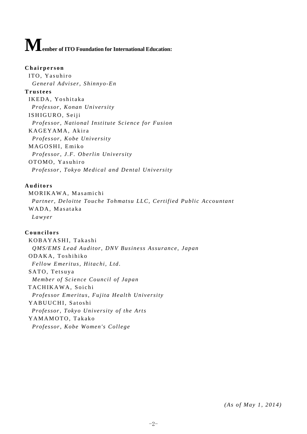# $\displaystyle\mathop{\bf M}_{\mathop{\rm ember}}$  of ITO Foundation for International Education:

#### **Chairperson**

ITO, Yasuhiro *General Adviser, Shinnyo-En* 

#### **Trustees**

IKEDA, Yoshitaka *Professor, Konan University*  ISHIGURO, Seiji *Professor, National Institute Science for Fusion*  KAGEYAMA, Akira *Professor, Kobe University*  MAGOSHI, Emiko *Professor, J.F. Oberlin University*  OTOMO, Yasuhiro *Professor, Tokyo Medical and Dental University* 

#### **Auditors**

MORIKAWA, Masamichi *Partner, Deloitte Touche Tohmatsu LLC, Certified Public Accountant*  WADA, Masataka *Lawyer* 

#### **Councilors**

K O B A Y A S H I, Takashi *QMS/EMS Lead Auditor, DNV Business Assurance, Japan*  ODAKA, Toshihiko *Fellow Emeritus, Hitachi, Ltd.*  SATO, Tetsuya *Member of Science Council of Japan*  TACHIKAWA, Soichi *Professor Emeritus, Fujita Health University*  YABUUCHI, Satoshi *Professor, Tokyo University of the Arts*  YAMAMOTO, Takako *Professor, Kobe Women's College* 

*(As of May 1, 2014)*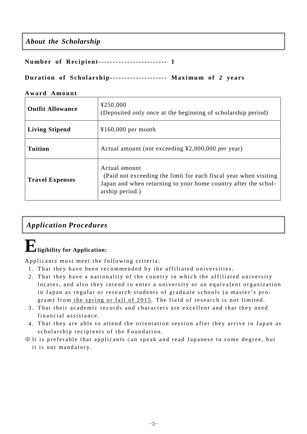#### *About the Scholarship*

**Number of Recipient------------------------ 1** 

#### **Duration of Scholarship-------------------- Maximum of 2 years**

#### **Award Amount**

| <b>Outfit Allowance</b> | ¥250,000<br>(Deposited only once at the beginning of scholarship period)                                                                                               |
|-------------------------|------------------------------------------------------------------------------------------------------------------------------------------------------------------------|
| <b>Living Stipend</b>   | $¥160,000$ per month                                                                                                                                                   |
| <b>Tuition</b>          | Actual amount (not exceeding $\text{\textsterling}2,000,000$ per year)                                                                                                 |
| <b>Travel Expenses</b>  | Actual amount<br>(Paid not exceeding the limit for each fiscal year when visiting<br>Japan and when returning to your home country after the schol-<br>arship period.) |

#### *Application Procedures*

# **Eligibility for Application:**

Applicants must meet the following criteria:

- 1 . That they have been recommended by the affiliated universities.
- 2 . That they have a nationality of the country in which the affiliated university locates, and also they intend to enter a university or an equivalent organization in Japan as regular or research students of graduate schools (a master's program) from the spring or fall of 2015. The field of research is not limited.
- 3 . That their academic records and characters are excellent and that they need financial assistance.
- 4 . That they are able to attend the orientation session after they arrive in Japan as scholarship recipients of the Foundation.
- ※ It is preferable that applicants can speak and read Japanese to some degree, but
	- it is not mandatory.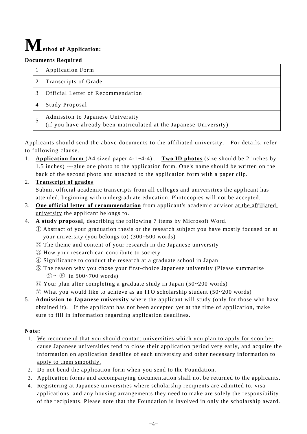# $\mathbf{M}_{\text{ethod of Application:}}$

#### **Documents Required**

| <b>Application Form</b>                                                                                |
|--------------------------------------------------------------------------------------------------------|
| Transcripts of Grade                                                                                   |
| Official Letter of Recommendation                                                                      |
| Study Proposal                                                                                         |
| Admission to Japanese University<br>(if you have already been matriculated at the Japanese University) |

Applicants should send the above documents to the affiliated university. For details, refer to following clause.

1. **Application form** (A4 sized paper 4-1~4-4) . **Two ID photos** (size should be 2 inches by 1.5 inches) ---glue one photo to the application form. One's name should be written on the back of the second photo and attached to the application form with a paper clip.

#### 2. **Transcript of grades**

Submit official academic transcripts from all colleges and universities the applicant has attended, beginning with undergraduate education. Photocopies will not be accepted.

- 3. **One official letter of recommendation** from applicant's academic advisor at the affiliated university the applicant belongs to.
- 4. **A study proposal**, describing the following 7 items by Microsoft Word.
	- ① Abstract of your graduation thesis or the research subject you have mostly focused on at your university (you belongs to) (300~500 words)
	- ② The theme and content of your research in the Japanese university
	- ③ How your research can contribute to society
	- ④ Significance to conduct the research at a graduate school in Japan
	- ⑤ The reason why you chose your first-choice Japanese university (Please summarize  $(2)$  ~ (5) in 500~700 words)
	- ⑥ Your plan after completing a graduate study in Japan (50~200 words)
	- $\overline{O}$  What you would like to achieve as an ITO scholarship student (50~200 words)
- 5. **Admission to Japanese university** where the applicant will study (only for those who have obtained it). If the applicant has not been accepted yet at the time of application, make sure to fill in information regarding application deadlines.

#### **Note:**

- 1. We recommend that you should contact universities which you plan to apply for soon because Japanese universities tend to close their application period very early, and acquire the information on application deadline of each university and other necessary information to apply to them smoothly.
- 2. Do not bend the application form when you send to the Foundation.
- 3. Application forms and accompanying documentation shall not be returned to the applicants.
- 4. Registering at Japanese universities where scholarship recipients are admitted to, visa applications, and any housing arrangements they need to make are solely the responsibility of the recipients. Please note that the Foundation is involved in only the scholarship award.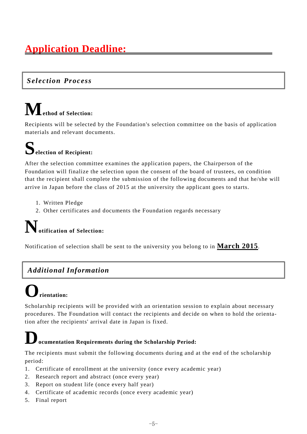### **Application Deadline:**

#### *Selection Process*

### **Method of Selection:**

Recipients will be selected by the Foundation's selection committee on the basis of application materials and relevant documents.

## **Selection of Recipient:**

After the selection committee examines the application papers, the Chairperson of the Foundation will finalize the selection upon the consent of the board of trustees, on condition that the recipient shall complete the submission of the following documents and that he/she will arrive in Japan before the class of 2015 at the university the applicant goes to starts.

- 1. Written Pledge
- 2. Other certificates and documents the Foundation regards necessary

### **Notification of Selection:**

Notification of selection shall be sent to the university you belong to in **March 2015**.

#### *Additional Information*

## **Orientation:**

Scholarship recipients will be provided with an orientation session to explain about necessary procedures. The Foundation will contact the recipients and decide on when to hold the orientation after the recipients' arrival date in Japan is fixed.

### **Documentation Requirements during the Scholarship Period:**

The recipients must submit the following documents during and at the end of the scholarship period:

- 1. Certificate of enrollment at the university (once every academic year)
- 2. Research report and abstract (once every year)
- 3. Report on student life (once every half year)
- 4. Certificate of academic records (once every academic year)
- 5. Final report